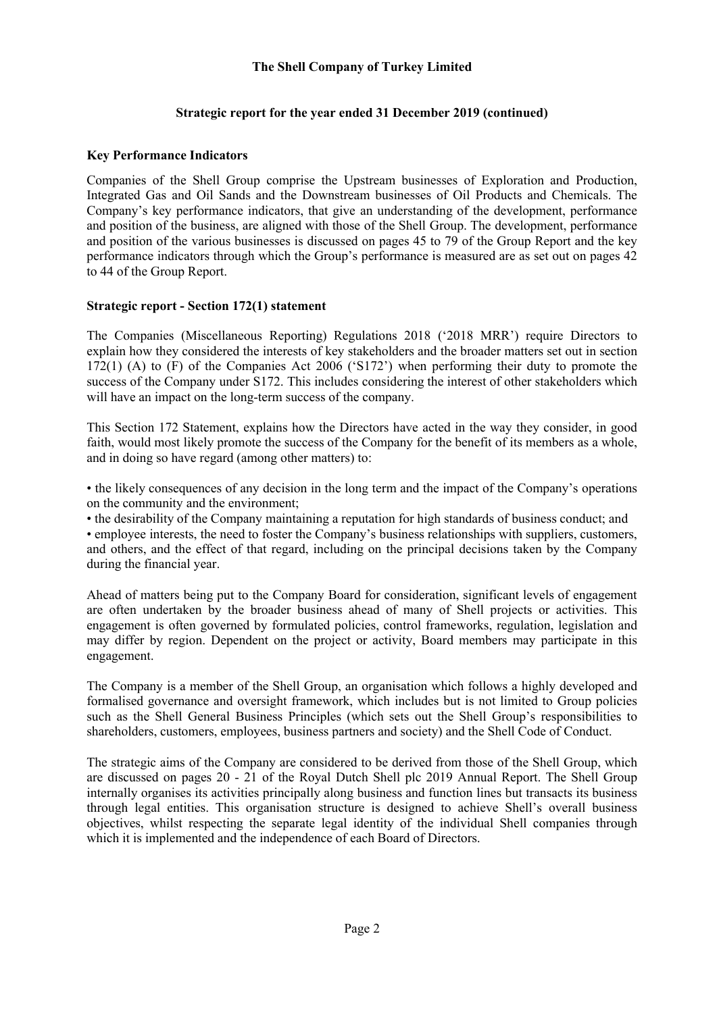## **The Shell Company of Turkey Limited**

## **Strategic report for the year ended 31 December 2019 (continued)**

## **Key Performance Indicators**

Companies of the Shell Group comprise the Upstream businesses of Exploration and Production, Integrated Gas and Oil Sands and the Downstream businesses of Oil Products and Chemicals. The Company's key performance indicators, that give an understanding of the development, performance and position of the business, are aligned with those of the Shell Group. The development, performance and position of the various businesses is discussed on pages 45 to 79 of the Group Report and the key performance indicators through which the Group's performance is measured are as set out on pages 42 to 44 of the Group Report.

## **Strategic report - Section 172(1) statement**

The Companies (Miscellaneous Reporting) Regulations 2018 ('2018 MRR') require Directors to explain how they considered the interests of key stakeholders and the broader matters set out in section 172(1) (A) to (F) of the Companies Act 2006 ('S172') when performing their duty to promote the success of the Company under S172. This includes considering the interest of other stakeholders which will have an impact on the long-term success of the company.

This Section 172 Statement, explains how the Directors have acted in the way they consider, in good faith, would most likely promote the success of the Company for the benefit of its members as a whole, and in doing so have regard (among other matters) to:

• the likely consequences of any decision in the long term and the impact of the Company's operations on the community and the environment;

• the desirability of the Company maintaining a reputation for high standards of business conduct; and • employee interests, the need to foster the Company's business relationships with suppliers, customers, and others, and the effect of that regard, including on the principal decisions taken by the Company during the financial year.

Ahead of matters being put to the Company Board for consideration, significant levels of engagement are often undertaken by the broader business ahead of many of Shell projects or activities. This engagement is often governed by formulated policies, control frameworks, regulation, legislation and may differ by region. Dependent on the project or activity, Board members may participate in this engagement.

The Company is a member of the Shell Group, an organisation which follows a highly developed and formalised governance and oversight framework, which includes but is not limited to Group policies such as the Shell General Business Principles (which sets out the Shell Group's responsibilities to shareholders, customers, employees, business partners and society) and the Shell Code of Conduct.

The strategic aims of the Company are considered to be derived from those of the Shell Group, which are discussed on pages 20 - 21 of the Royal Dutch Shell plc 2019 Annual Report. The Shell Group internally organises its activities principally along business and function lines but transacts its business through legal entities. This organisation structure is designed to achieve Shell's overall business objectives, whilst respecting the separate legal identity of the individual Shell companies through which it is implemented and the independence of each Board of Directors.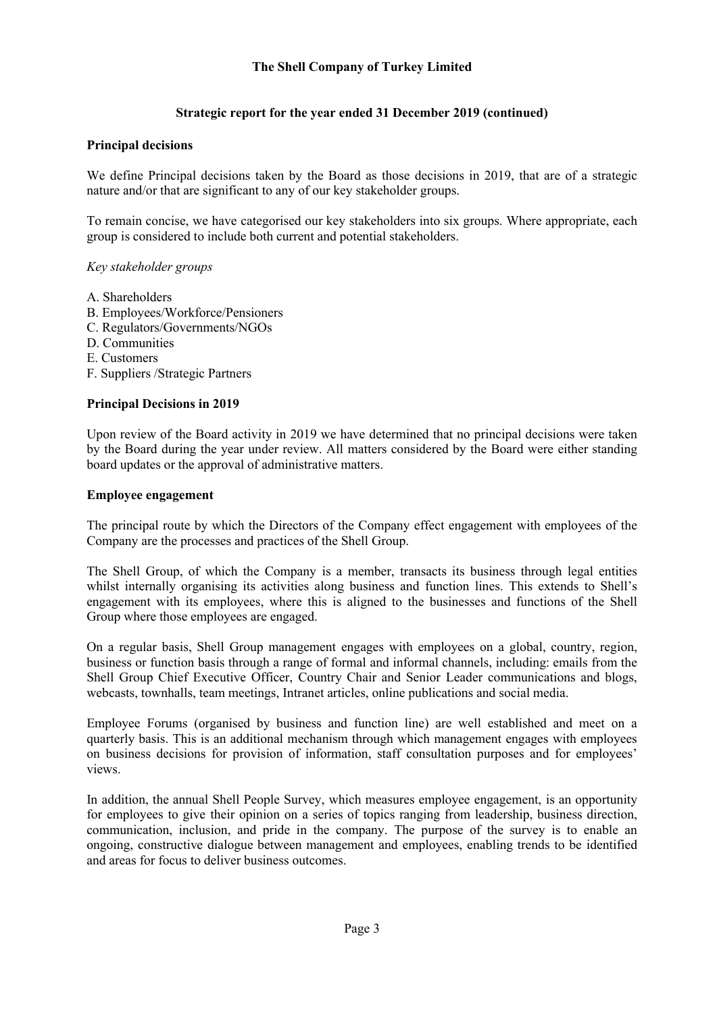# **Strategic report for the year ended 31 December 2019 (continued)**

## **Principal decisions**

We define Principal decisions taken by the Board as those decisions in 2019, that are of a strategic nature and/or that are significant to any of our key stakeholder groups.

To remain concise, we have categorised our key stakeholders into six groups. Where appropriate, each group is considered to include both current and potential stakeholders.

### *Key stakeholder groups*

- A. Shareholders
- B. Employees/Workforce/Pensioners
- C. Regulators/Governments/NGOs
- D. Communities
- E. Customers
- F. Suppliers /Strategic Partners

### **Principal Decisions in 2019**

Upon review of the Board activity in 2019 we have determined that no principal decisions were taken by the Board during the year under review. All matters considered by the Board were either standing board updates or the approval of administrative matters.

#### **Employee engagement**

The principal route by which the Directors of the Company effect engagement with employees of the Company are the processes and practices of the Shell Group.

The Shell Group, of which the Company is a member, transacts its business through legal entities whilst internally organising its activities along business and function lines. This extends to Shell's engagement with its employees, where this is aligned to the businesses and functions of the Shell Group where those employees are engaged.

On a regular basis, Shell Group management engages with employees on a global, country, region, business or function basis through a range of formal and informal channels, including: emails from the Shell Group Chief Executive Officer, Country Chair and Senior Leader communications and blogs, webcasts, townhalls, team meetings, Intranet articles, online publications and social media.

Employee Forums (organised by business and function line) are well established and meet on a quarterly basis. This is an additional mechanism through which management engages with employees on business decisions for provision of information, staff consultation purposes and for employees' views.

In addition, the annual Shell People Survey, which measures employee engagement, is an opportunity for employees to give their opinion on a series of topics ranging from leadership, business direction, communication, inclusion, and pride in the company. The purpose of the survey is to enable an ongoing, constructive dialogue between management and employees, enabling trends to be identified and areas for focus to deliver business outcomes.